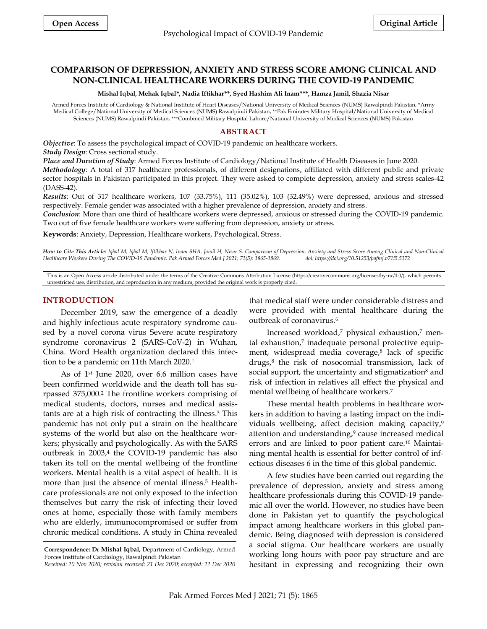# **COMPARISON OF DEPRESSION, ANXIETY AND STRESS SCORE AMONG CLINICAL AND NON-CLINICAL HEALTHCARE WORKERS DURING THE COVID-19 PANDEMIC**

**Mishal Iqbal, Mehak Iqbal\*, Nadia Iftikhar\*\*, Syed Hashim Ali Inam\*\*\*, Hamza Jamil, Shazia Nisar**

Armed Forces Institute of Cardiology & National Institute of Heart Diseases/National University of Medical Sciences (NUMS) Rawalpindi Pakistan, \*Army Medical College/National University of Medical Sciences (NUMS) Rawalpindi Pakistan, \*\*Pak Emirates Military Hospital/National University of Medical Sciences (NUMS) Rawalpindi Pakistan, \*\*\*Combined Military Hospital Lahore/National University of Medical Sciences (NUMS) Pakistan

## **ABSTRACT**

*Objective*: To assess the psychological impact of COVID-19 pandemic on healthcare workers. *Study Design*: Cross sectional study.

*Place and Duration of Study*: Armed Forces Institute of Cardiology/National Institute of Health Diseases in June 2020.

*Methodology*: A total of 317 healthcare professionals, of different designations, affiliated with different public and private sector hospitals in Pakistan participated in this project. They were asked to complete depression, anxiety and stress scales-42 (DASS-42).

*Results*: Out of 317 healthcare workers, 107 (33.75%), 111 (35.02%), 103 (32.49%) were depressed, anxious and stressed respectively. Female gender was associated with a higher prevalence of depression, anxiety and stress.

*Conclusion*: More than one third of healthcare workers were depressed, anxious or stressed during the COVID-19 pandemic. Two out of five female healthcare workers were suffering from depression, anxiety or stress.

**Keywords**: Anxiety, Depression, Healthcare workers, Psychological, Stress.

How to Cite This Article: Iqbal M, Iqbal M, Iftikhar N, Inam SHA, Jamil H, Nisar S. Comparison of Depression, Anxiety and Stress Score Among Clinical and Non-Clinical *Healthcare Workers During The COVID-19 Pandemic. Pak Armed Forces Med J 2021; 71(5): 1865-1869. doi: https://doi.org/10.51253/pafmj.v71i5.5372*

This is an Open Access article distributed under the terms of the Creative Commons Attribution License (https://creativecommons.org/licenses/by-nc/4.0/), which permits unrestricted use, distribution, and reproduction in any medium, provided the original work is properly cited.

### **INTRODUCTION**

December 2019, saw the emergence of a deadly and highly infectious acute respiratory syndrome caused by a novel corona virus Severe acute respiratory syndrome coronavirus 2 (SARS‐CoV‐2) in Wuhan, China. Word Health organization declared this infection to be a pandemic on 11th March 2020. 1

As of 1st June 2020, over 6.6 million cases have been confirmed worldwide and the death toll has surpassed 375,000. <sup>2</sup> The frontline workers comprising of medical students, doctors, nurses and medical assistants are at a high risk of contracting the illness. <sup>3</sup> This pandemic has not only put a strain on the healthcare systems of the world but also on the healthcare workers; physically and psychologically. As with the SARS outbreak in 2003, 4 the COVID-19 pandemic has also taken its toll on the mental wellbeing of the frontline workers. Mental health is a vital aspect of health. It is more than just the absence of mental illness. <sup>5</sup> Healthcare professionals are not only exposed to the infection themselves but carry the risk of infecting their loved ones at home, especially those with family members who are elderly, immunocompromised or suffer from chronic medical conditions. A study in China revealed

that medical staff were under considerable distress and were provided with mental healthcare during the outbreak of coronavirus. 6

Increased workload, <sup>7</sup> physical exhaustion, <sup>7</sup> mental exhaustion, 7 inadequate personal protective equipment, widespread media coverage, 8 lack of specific drugs, 8 the risk of nosocomial transmission, lack of social support, the uncertainty and stigmatization<sup>8</sup> and risk of infection in relatives all effect the physical and mental wellbeing of healthcare workers. 7

These mental health problems in healthcare workers in addition to having a lasting impact on the individuals wellbeing, affect decision making capacity, 9 attention and understanding, <sup>9</sup> cause increased medical errors and are linked to poor patient care. <sup>10</sup> Maintaining mental health is essential for better control of infectious diseases 6 in the time of this global pandemic.

A few studies have been carried out regarding the prevalence of depression, anxiety and stress among healthcare professionals during this COVID-19 pandemic all over the world. However, no studies have been done in Pakistan yet to quantify the psychological impact among healthcare workers in this global pandemic. Being diagnosed with depression is considered a social stigma. Our healthcare workers are usually working long hours with poor pay structure and are hesitant in expressing and recognizing their own

**Correspondence: Dr Mishal Iqbal,** Department of Cardiology, Armed Forces Institute of Cardiology, Rawalpindi Pakistan

*Received: 20 Nov 2020; revision received: 21 Dec 2020; accepted: 22 Dec 2020*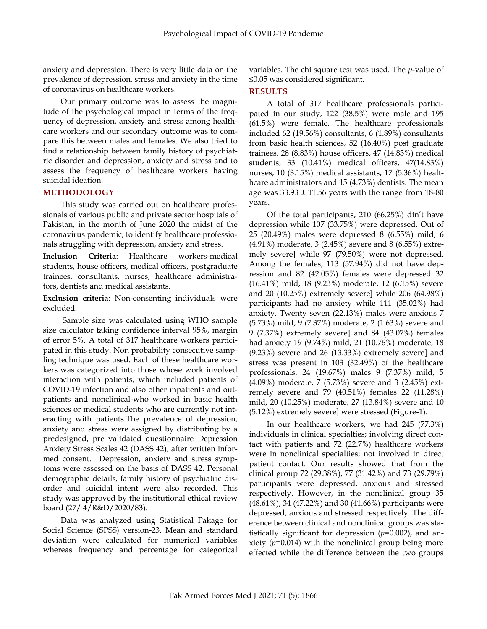anxiety and depression. There is very little data on the prevalence of depression, stress and anxiety in the time of coronavirus on healthcare workers.

Our primary outcome was to assess the magnitude of the psychological impact in terms of the frequency of depression, anxiety and stress among healthcare workers and our secondary outcome was to compare this between males and females. We also tried to find a relationship between family history of psychiatric disorder and depression, anxiety and stress and to assess the frequency of healthcare workers having suicidal ideation.

### **METHODOLOGY**

This study was carried out on healthcare professionals of various public and private sector hospitals of Pakistan, in the month of June 2020 the midst of the coronavirus pandemic, to identify healthcare professionals struggling with depression, anxiety and stress.

**Inclusion Criteria**: Healthcare workers-medical students, house officers, medical officers, postgraduate trainees, consultants, nurses, healthcare administrators, dentists and medical assistants.

**Exclusion criteria**: Non-consenting individuals were excluded.

Sample size was calculated using WHO sample size calculator taking confidence interval 95%, margin of error 5%. A total of 317 healthcare workers participated in this study. Non probability consecutive sampling technique was used. Each of these healthcare workers was categorized into those whose work involved interaction with patients, which included patients of COVID-19 infection and also other inpatients and outpatients and nonclinical-who worked in basic health sciences or medical students who are currently not interacting with patients.The prevalence of depression, anxiety and stress were assigned by distributing by a predesigned, pre validated questionnaire Depression Anxiety Stress Scales 42 (DASS 42), after written informed consent. Depression, anxiety and stress symptoms were assessed on the basis of DASS 42. Personal demographic details, family history of psychiatric disorder and suicidal intent were also recorded. This study was approved by the institutional ethical review board (27/ 4/R&D/2020/83).

Data was analyzed using Statistical Pakage for Social Science (SPSS) version-23. Mean and standard deviation were calculated for numerical variables whereas frequency and percentage for categorical variables. The chi square test was used. The *p*-value of ≤0.05 was considered significant.

### **RESULTS**

A total of 317 healthcare professionals participated in our study, 122 (38.5%) were male and 195 (61.5%) were female. The healthcare professionals included 62 (19.56%) consultants, 6 (1.89%) consultants from basic health sciences, 52 (16.40%) post graduate trainees, 28 (8.83%) house officers, 47 (14.83%) medical students, 33 (10.41%) medical officers, 47(14.83%) nurses, 10 (3.15%) medical assistants, 17 (5.36%) healthcare administrators and 15 (4.73%) dentists. The mean age was  $33.93 \pm 11.56$  years with the range from 18-80 years.

Of the total participants, 210 (66.25%) din't have depression while 107 (33.75%) were depressed. Out of 25 (20.49%) males were depressed 8 (6.55%) mild, 6 (4.91%) moderate, 3 (2.45%) severe and 8 (6.55%) extremely severe] while 97 (79.50%) were not depressed. Among the females, 113 (57.94%) did not have depression and 82 (42.05%) females were depressed 32 (16.41%) mild, 18 (9.23%) moderate, 12 (6.15%) severe and 20 (10.25%) extremely severe] while 206 (64.98%) participants had no anxiety while 111 (35.02%) had anxiety. Twenty seven (22.13%) males were anxious 7 (5.73%) mild, 9 (7.37%) moderate, 2 (1.63%) severe and 9 (7.37%) extremely severe] and 84 (43.07%) females had anxiety 19 (9.74%) mild, 21 (10.76%) moderate, 18 (9.23%) severe and 26 (13.33%) extremely severe] and stress was present in 103 (32.49%) of the healthcare professionals. 24 (19.67%) males 9 (7.37%) mild, 5 (4.09%) moderate, 7 (5.73%) severe and 3 (2.45%) extremely severe and 79 (40.51%) females 22 (11.28%) mild, 20 (10.25%) moderate, 27 (13.84%) severe and 10 (5.12%) extremely severe] were stressed (Figure-1).

In our healthcare workers, we had 245 (77.3%) individuals in clinical specialties; involving direct contact with patients and 72 (22.7%) healthcare workers were in nonclinical specialties; not involved in direct patient contact. Our results showed that from the clinical group 72 (29.38%), 77 (31.42%) and 73 (29.79%) participants were depressed, anxious and stressed respectively. However, in the nonclinical group 35 (48.61%), 34 (47.22%) and 30 (41.66%) participants were depressed, anxious and stressed respectively. The difference between clinical and nonclinical groups was statistically significant for depression (*p*=0.002), and anxiety (*p*=0.014) with the nonclinical group being more effected while the difference between the two groups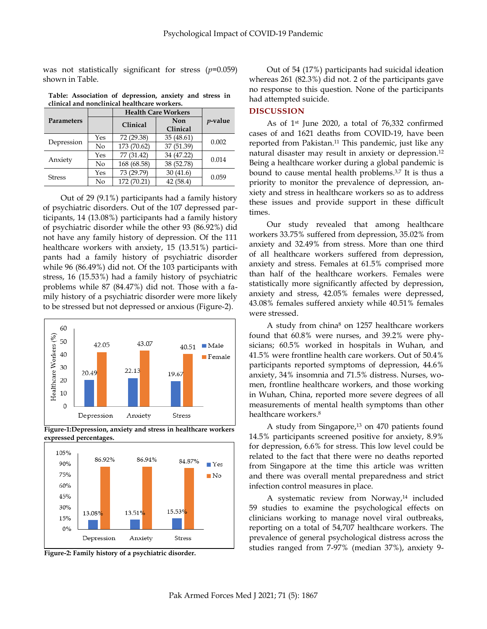was not statistically significant for stress (*p*=0.059) shown in Table.

**Table: Association of depression, anxiety and stress in clinical and nonclinical healthcare workers.** 

|               |     | <b>Health Care Workers</b> |            |            |
|---------------|-----|----------------------------|------------|------------|
| Parameters    |     | Clinical                   | Non        | $p$ -value |
|               |     |                            | Clinical   |            |
| Depression    | Yes | 72 (29.38)                 | 35(48.61)  | 0.002      |
|               | No  | 173 (70.62)                | 37 (51.39) |            |
| Anxiety       | Yes | 77 (31.42)                 | 34 (47.22) | 0.014      |
|               | No  | 168 (68.58)                | 38 (52.78) |            |
| <b>Stress</b> | Yes | 73 (29.79)                 | 30(41.6)   | 0.059      |
|               | No  | 172 (70.21)                | 42(58.4)   |            |

Out of 29 (9.1%) participants had a family history of psychiatric disorders. Out of the 107 depressed participants, 14 (13.08%) participants had a family history of psychiatric disorder while the other 93 (86.92%) did not have any family history of depression. Of the 111 healthcare workers with anxiety, 15 (13.51%) participants had a family history of psychiatric disorder while 96 (86.49%) did not. Of the 103 participants with stress, 16 (15.53%) had a family history of psychiatric problems while 87 (84.47%) did not. Those with a family history of a psychiatric disorder were more likely to be stressed but not depressed or anxious (Figure-2).



**Figure-1:Depression, anxiety and stress in healthcare workers expressed percentages.**





Out of 54 (17%) participants had suicidal ideation whereas 261 (82.3%) did not. 2 of the participants gave no response to this question. None of the participants had attempted suicide.

#### **DISCUSSION**

As of 1st June 2020, a total of 76,332 confirmed cases of and 1621 deaths from COVID-19, have been reported from Pakistan. <sup>11</sup> This pandemic, just like any natural disaster may result in anxiety or depression. 12 Being a healthcare worker during a global pandemic is bound to cause mental health problems. 3,7 It is thus a priority to monitor the prevalence of depression, anxiety and stress in healthcare workers so as to address these issues and provide support in these difficult times.

Our study revealed that among healthcare workers 33.75% suffered from depression, 35.02% from anxiety and 32.49% from stress. More than one third of all healthcare workers suffered from depression, anxiety and stress. Females at 61.5% comprised more than half of the healthcare workers. Females were statistically more significantly affected by depression, anxiety and stress, 42.05% females were depressed, 43.08% females suffered anxiety while 40.51% females were stressed.

A study from china<sup>8</sup> on 1257 healthcare workers found that 60.8% were nurses, and 39.2% were physicians; 60.5% worked in hospitals in Wuhan, and 41.5% were frontline health care workers. Out of 50.4% participants reported symptoms of depression, 44.6% anxiety, 34% insomnia and 71.5% distress. Nurses, women, frontline healthcare workers, and those working in Wuhan, China, reported more severe degrees of all measurements of mental health symptoms than other healthcare workers. 8

A study from Singapore, <sup>13</sup> on 470 patients found 14.5% participants screened positive for anxiety, 8.9% for depression, 6.6% for stress. This low level could be related to the fact that there were no deaths reported from Singapore at the time this article was written and there was overall mental preparedness and strict infection control measures in place.

A systematic review from Norway, <sup>14</sup> included 59 studies to examine the psychological effects on clinicians working to manage novel viral outbreaks, reporting on a total of 54,707 healthcare workers. The prevalence of general psychological distress across the studies ranged from 7-97% (median 37%), anxiety 9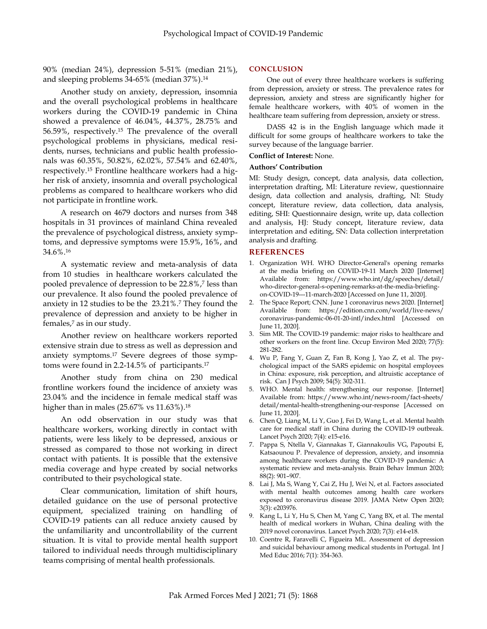90% (median 24%), depression 5-51% (median 21%), and sleeping problems 34-65% (median 37%). 14

Another study on anxiety, depression, insomnia and the overall psychological problems in healthcare workers during the COVID-19 pandemic in China showed a prevalence of 46.04%, 44.37%, 28.75% and 56.59%, respectively. <sup>15</sup> The prevalence of the overall psychological problems in physicians, medical residents, nurses, technicians and public health professionals was 60.35%, 50.82%, 62.02%, 57.54% and 62.40%, respectively. <sup>15</sup> Frontline healthcare workers had a higher risk of anxiety, insomnia and overall psychological problems as compared to healthcare workers who did not participate in frontline work.

A research on 4679 doctors and nurses from 348 hospitals in 31 provinces of mainland China revealed the prevalence of psychological distress, anxiety symptoms, and depressive symptoms were 15.9%, 16%, and 34.6%. 16

A systematic review and meta-analysis of data from 10 studies in healthcare workers calculated the pooled prevalence of depression to be 22.8%, 7 less than our prevalence. It also found the pooled prevalence of anxiety in 12 studies to be the 23.21%. <sup>7</sup> They found the prevalence of depression and anxiety to be higher in females, <sup>7</sup> as in our study.

Another review on healthcare workers reported extensive strain due to stress as well as depression and anxiety symptoms. <sup>17</sup> Severe degrees of those symptoms were found in 2.2-14.5% of participants. 17

Another study from china on 230 medical frontline workers found the incidence of anxiety was 23.04% and the incidence in female medical staff was higher than in males (25.67% vs 11.63%). 18

An odd observation in our study was that healthcare workers, working directly in contact with patients, were less likely to be depressed, anxious or stressed as compared to those not working in direct contact with patients. It is possible that the extensive media coverage and hype created by social networks contributed to their psychological state.

Clear communication, limitation of shift hours, detailed guidance on the use of personal protective equipment, specialized training on handling of COVID-19 patients can all reduce anxiety caused by the unfamiliarity and uncontrollability of the current situation. It is vital to provide mental health support tailored to individual needs through multidisciplinary teams comprising of mental health professionals.

### **CONCLUSION**

One out of every three healthcare workers is suffering from depression, anxiety or stress. The prevalence rates for depression, anxiety and stress are significantly higher for female healthcare workers, with 40% of women in the healthcare team suffering from depression, anxiety or stress.

DASS 42 is in the English language which made it difficult for some groups of healthcare workers to take the survey because of the language barrier.

#### **Conflict of Interest:** None.

#### **Authors' Contribution**

MI: Study design, concept, data analysis, data collection, interpretation drafting, MI: Literature review, questionnaire design, data collection and analysis, drafting, NI: Study concept, literature review, data collection, data analysis, editing, SHI: Questionnaire design, write up, data collection and analysis, HJ: Study concept, literature review, data interpretation and editing, SN: Data collection interpretation analysis and drafting.

### **REFERENCES**

- 1. Organization WH. WHO Director-General's opening remarks at the media briefing on COVID-19-11 March 2020 [Internet] Available from: https://www.who.int/dg/speeches/detail/ who-director-general-s-opening-remarks-at-the-media-briefingon-COVID-19---11-march-2020 [Accessed on June 11, 2020].
- 2. The Space Report; CNN. June 1 coronavirus news 2020. [Internet] Available from: [https://edition.cnn.com/world/live-news/](https://edition.cnn.com/world/live-news/coronavirus-pandemic-06-01-20-intl/index.html) [coronavirus-pandemic-06-01-20-intl/index.html](https://edition.cnn.com/world/live-news/coronavirus-pandemic-06-01-20-intl/index.html) [Accessed on June 11, 2020].
- 3. Sim MR. The COVID-19 pandemic: major risks to healthcare and other workers on the front line. Occup Environ Med 2020; 77(5): 281-282.
- 4. Wu P, Fang Y, Guan Z, Fan B, Kong J, Yao Z, et al. The psychological impact of the SARS epidemic on hospital employees in China: exposure, risk perception, and altruistic acceptance of risk. Can J Psych 2009; 54(5): 302-311.
- 5. WHO. Mental health: strengthening our response. [Internet] Available from: https://www.who.int/news-room/fact-sheets/ detail/mental-health-strengthening-our-response [Accessed on June 11, 2020].
- 6. Chen Q, Liang M, Li Y, Guo J, Fei D, Wang L, et al. Mental health care for medical staff in China during the COVID-19 outbreak. Lancet Psych 2020; 7(4): e15-e16.
- 7. Pappa S, Ntella V, Giannakas T, Giannakoulis VG, Papoutsi E, Katsaounou P. Prevalence of depression, anxiety, and insomnia among healthcare workers during the COVID-19 pandemic: A systematic review and meta-analysis. Brain Behav Immun 2020; 88(2): 901–907.
- 8. Lai J, Ma S, Wang Y, Cai Z, Hu J, Wei N, et al. Factors associated with mental health outcomes among health care workers exposed to coronavirus disease 2019. JAMA Netw Open 2020; 3(3): e203976.
- 9. Kang L, Li Y, Hu S, Chen M, Yang C, Yang BX, et al. The mental health of medical workers in Wuhan, China dealing with the 2019 novel coronavirus. Lancet Psych 2020; 7(3): e14-e18.
- 10. Coentre R, Faravelli C, Figueira ML. Assessment of depression and suicidal behaviour among medical students in Portugal. Int J Med Educ 2016; 7(1): 354-363.